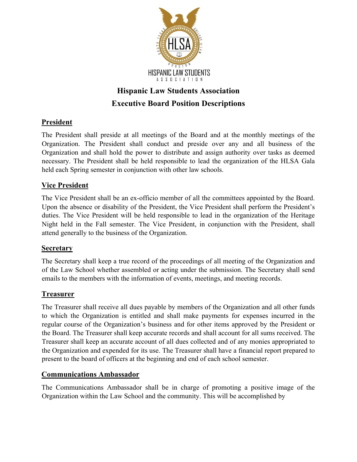

# **Hispanic Law Students Association Executive Board Position Descriptions**

## **President**

The President shall preside at all meetings of the Board and at the monthly meetings of the Organization. The President shall conduct and preside over any and all business of the Organization and shall hold the power to distribute and assign authority over tasks as deemed necessary. The President shall be held responsible to lead the organization of the HLSA Gala held each Spring semester in conjunction with other law schools.

## **Vice President**

The Vice President shall be an ex-officio member of all the committees appointed by the Board. Upon the absence or disability of the President, the Vice President shall perform the President's duties. The Vice President will be held responsible to lead in the organization of the Heritage Night held in the Fall semester. The Vice President, in conjunction with the President, shall attend generally to the business of the Organization.

### **Secretary**

The Secretary shall keep a true record of the proceedings of all meeting of the Organization and of the Law School whether assembled or acting under the submission. The Secretary shall send emails to the members with the information of events, meetings, and meeting records.

## **Treasurer**

The Treasurer shall receive all dues payable by members of the Organization and all other funds to which the Organization is entitled and shall make payments for expenses incurred in the regular course of the Organization's business and for other items approved by the President or the Board. The Treasurer shall keep accurate records and shall account for all sums received. The Treasurer shall keep an accurate account of all dues collected and of any monies appropriated to the Organization and expended for its use. The Treasurer shall have a financial report prepared to present to the board of officers at the beginning and end of each school semester.

## **Communications Ambassador**

The Communications Ambassador shall be in charge of promoting a positive image of the Organization within the Law School and the community. This will be accomplished by